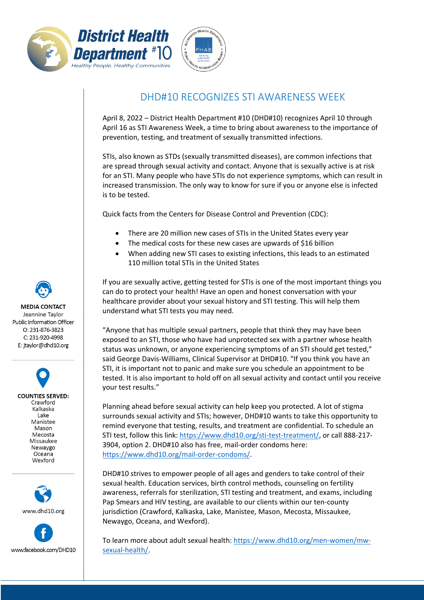



## DHD#10 RECOGNIZES STI AWARENESS WEEK

April 8, 2022 – District Health Department #10 (DHD#10) recognizes April 10 through April 16 as STI Awareness Week, a time to bring about awareness to the importance of prevention, testing, and treatment of sexually transmitted infections.

STIs, also known as STDs (sexually transmitted diseases), are common infections that are spread through sexual activity and contact. Anyone that is sexually active is at risk for an STI. Many people who have STIs do not experience symptoms, which can result in increased transmission. The only way to know for sure if you or anyone else is infected is to be tested.

Quick facts from the Centers for Disease Control and Prevention (CDC):

- There are 20 million new cases of STIs in the United States every year
- The medical costs for these new cases are upwards of \$16 billion
- When adding new STI cases to existing infections, this leads to an estimated 110 million total STIs in the United States

If you are sexually active, getting tested for STIs is one of the most important things you can do to protect your health! Have an open and honest conversation with your healthcare provider about your sexual history and STI testing. This will help them understand what STI tests you may need.

"Anyone that has multiple sexual partners, people that think they may have been exposed to an STI, those who have had unprotected sex with a partner whose health status was unknown, or anyone experiencing symptoms of an STI should get tested," said George Davis-Williams, Clinical Supervisor at DHD#10. "If you think you have an STI, it is important not to panic and make sure you schedule an appointment to be tested. It is also important to hold off on all sexual activity and contact until you receive your test results."

Planning ahead before sexual activity can help keep you protected. A lot of stigma surrounds sexual activity and STIs; however, DHD#10 wants to take this opportunity to remind everyone that testing, results, and treatment are confidential. To schedule an STI test, follow this link: [https://www.dhd10.org/sti-test-treatment/,](https://www.dhd10.org/sti-test-treatment/) or call 888-217- 3904, option 2. DHD#10 also has free, mail-order condoms here: [https://www.dhd10.org/mail-order-condoms/.](https://www.dhd10.org/mail-order-condoms/)

DHD#10 strives to empower people of all ages and genders to take control of their sexual health. Education services, birth control methods, counseling on fertility awareness, referrals for sterilization, STI testing and treatment, and exams, including Pap Smears and HIV testing, are available to our clients within our ten-county jurisdiction (Crawford, Kalkaska, Lake, Manistee, Mason, Mecosta, Missaukee, Newaygo, Oceana, and Wexford).

To learn more about adult sexual health: [https://www.dhd10.org/men-women/mw](https://www.dhd10.org/men-women/mw-sexual-health/)[sexual-health/.](https://www.dhd10.org/men-women/mw-sexual-health/)

**MEDIA CONTACT** Jeannine Taylor Public Information Officer  $O: 231 - 876 - 3823$ C: 231-920-4998 E: jtaylor@dhd10.org

**COUNTIES SERVED:** Crawford Kalkaska Lake Manistee Mason Mecosta Missaukee Newaygo Oceana Wexford



www.facebook.com/DHD10